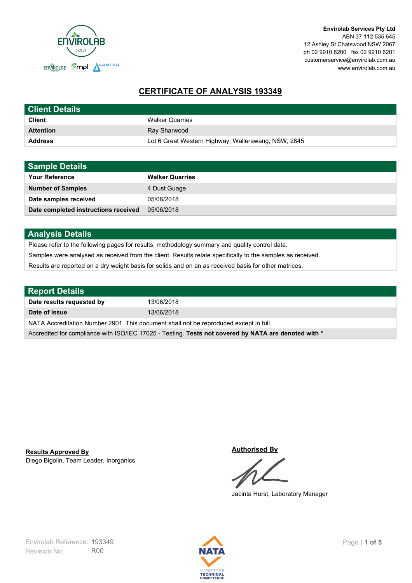

# **CERTIFICATE OF ANALYSIS 193349**

| <b>Client Details</b> |                                                     |
|-----------------------|-----------------------------------------------------|
| <b>Client</b>         | <b>Walker Quarries</b>                              |
| <b>Attention</b>      | Ray Sharwood                                        |
| <b>Address</b>        | Lot 6 Great Western Highway, Wallerawang, NSW, 2845 |

| <b>Sample Details</b>                |                        |
|--------------------------------------|------------------------|
| <b>Your Reference</b>                | <b>Walker Quarries</b> |
| <b>Number of Samples</b>             | 4 Dust Guage           |
| Date samples received                | 05/06/2018             |
| Date completed instructions received | 05/06/2018             |

# **Analysis Details**

Please refer to the following pages for results, methodology summary and quality control data.

Samples were analysed as received from the client. Results relate specifically to the samples as received.

Results are reported on a dry weight basis for solids and on an as received basis for other matrices.

| <b>Report Details</b>                                                                                |            |  |
|------------------------------------------------------------------------------------------------------|------------|--|
| Date results requested by                                                                            | 13/06/2018 |  |
| Date of Issue                                                                                        | 13/06/2018 |  |
| NATA Accreditation Number 2901. This document shall not be reproduced except in full.                |            |  |
| Accredited for compliance with ISO/IEC 17025 - Testing. Tests not covered by NATA are denoted with * |            |  |

Diego Bigolin, Team Leader, Inorganics **Results Approved By**

**Authorised By**

Jacinta Hurst, Laboratory Manager

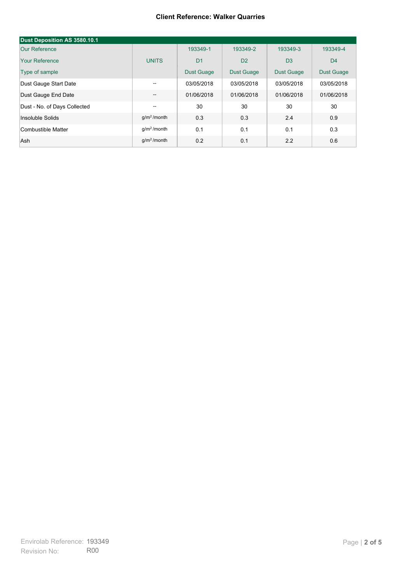#### **Client Reference: Walker Quarries**

| Dust Deposition AS 3580.10.1 |               |                   |                   |                   |                   |
|------------------------------|---------------|-------------------|-------------------|-------------------|-------------------|
| Our Reference                |               | 193349-1          | 193349-2          | 193349-3          | 193349-4          |
| Your Reference               | <b>UNITS</b>  | D <sub>1</sub>    | D <sub>2</sub>    | D <sub>3</sub>    | D <sub>4</sub>    |
| Type of sample               |               | <b>Dust Guage</b> | <b>Dust Guage</b> | <b>Dust Guage</b> | <b>Dust Guage</b> |
| Dust Gauge Start Date        | $- -$         | 03/05/2018        | 03/05/2018        | 03/05/2018        | 03/05/2018        |
| Dust Gauge End Date          | --            | 01/06/2018        | 01/06/2018        | 01/06/2018        | 01/06/2018        |
| Dust - No. of Days Collected | --            | 30                | 30                | 30                | 30                |
| Insoluble Solids             | $q/m2$ /month | 0.3               | 0.3               | 2.4               | 0.9               |
| Combustible Matter           | $q/m2$ /month | 0.1               | 0.1               | 0.1               | 0.3               |
| Ash                          | $q/m2$ /month | 0.2               | 0.1               | 2.2               | 0.6               |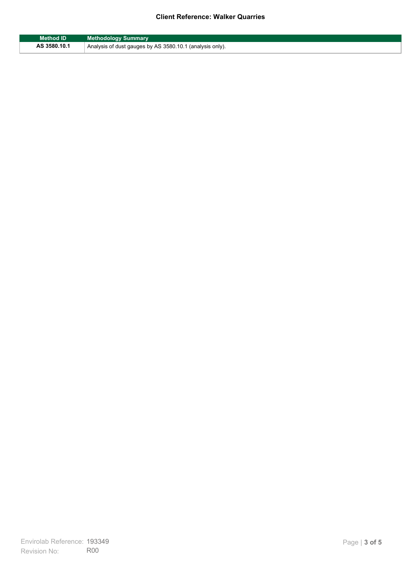## **Client Reference: Walker Quarries**

| <b>Method ID</b> | <b>Methodology Summary</b>                               |
|------------------|----------------------------------------------------------|
| AS 3580.10.1     | Analysis of dust gauges by AS 3580.10.1 (analysis only). |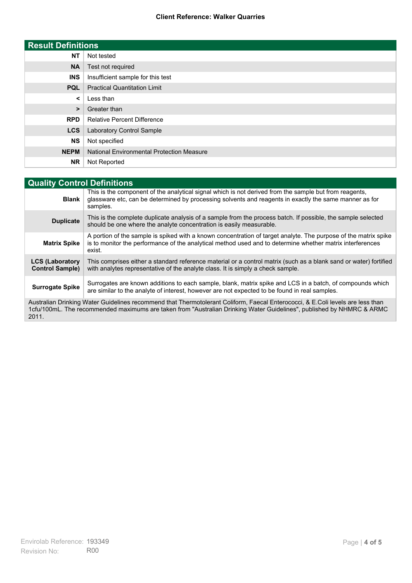### **Client Reference: Walker Quarries**

| <b>Result Definitions</b> |                                                  |
|---------------------------|--------------------------------------------------|
| <b>NT</b>                 | Not tested                                       |
| <b>NA</b>                 | Test not required                                |
| <b>INS</b>                | Insufficient sample for this test                |
| <b>PQL</b>                | <b>Practical Quantitation Limit</b>              |
| $\prec$                   | Less than                                        |
| $\geq$                    | Greater than                                     |
| <b>RPD</b>                | <b>Relative Percent Difference</b>               |
| <b>LCS</b>                | Laboratory Control Sample                        |
| <b>NS</b>                 | Not specified                                    |
| <b>NEPM</b>               | <b>National Environmental Protection Measure</b> |
| <b>NR</b>                 | Not Reported                                     |

| <b>Quality Control Definitions</b>                                                                                                                                                                                                                      |                                                                                                                                                                                                                                        |  |
|---------------------------------------------------------------------------------------------------------------------------------------------------------------------------------------------------------------------------------------------------------|----------------------------------------------------------------------------------------------------------------------------------------------------------------------------------------------------------------------------------------|--|
| <b>Blank</b>                                                                                                                                                                                                                                            | This is the component of the analytical signal which is not derived from the sample but from reagents.<br>glassware etc, can be determined by processing solvents and reagents in exactly the same manner as for<br>samples.           |  |
| <b>Duplicate</b>                                                                                                                                                                                                                                        | This is the complete duplicate analysis of a sample from the process batch. If possible, the sample selected<br>should be one where the analyte concentration is easily measurable.                                                    |  |
| <b>Matrix Spike</b>                                                                                                                                                                                                                                     | A portion of the sample is spiked with a known concentration of target analyte. The purpose of the matrix spike<br>is to monitor the performance of the analytical method used and to determine whether matrix interferences<br>exist. |  |
| <b>LCS (Laboratory</b><br><b>Control Sample)</b>                                                                                                                                                                                                        | This comprises either a standard reference material or a control matrix (such as a blank sand or water) fortified<br>with analytes representative of the analyte class. It is simply a check sample.                                   |  |
| <b>Surrogate Spike</b>                                                                                                                                                                                                                                  | Surrogates are known additions to each sample, blank, matrix spike and LCS in a batch, of compounds which<br>are similar to the analyte of interest, however are not expected to be found in real samples.                             |  |
| Australian Drinking Water Guidelines recommend that Thermotolerant Coliform, Faecal Enterococci, & E.Coli levels are less than<br>1cfu/100mL. The recommended maximums are taken from "Australian Drinking Water Guidelines", published by NHMRC & ARMC |                                                                                                                                                                                                                                        |  |

2011.